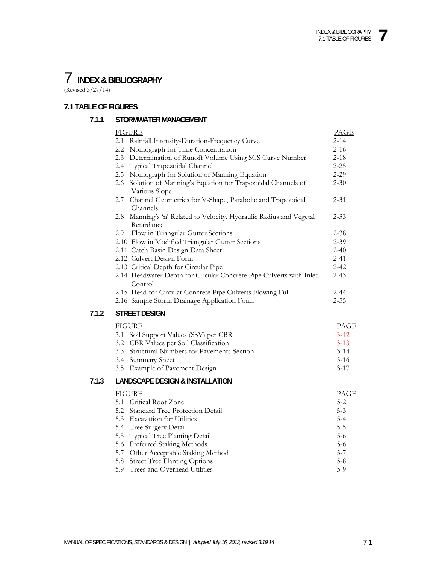# 7 **INDEX & BIBLIOGRAPHY**

(Revised 3/27/14)

# **7.1 TABLE OF FIGURES**

# **7.1.1 STORMWATER MANAGEMENT**

|       | <b>FIGURE</b>                                                                        | <b>PAGE</b> |
|-------|--------------------------------------------------------------------------------------|-------------|
|       | Rainfall Intensity-Duration-Frequency Curve<br>2.1                                   | 2-14        |
|       | 2.2 Nomograph for Time Concentration                                                 | $2 - 16$    |
|       | 2.3 Determination of Runoff Volume Using SCS Curve Number                            | $2 - 18$    |
|       | 2.4 Typical Trapezoidal Channel                                                      | $2 - 25$    |
|       | 2.5 Nomograph for Solution of Manning Equation                                       | $2 - 29$    |
|       | 2.6<br>Solution of Manning's Equation for Trapezoidal Channels of<br>Various Slope   | $2 - 30$    |
|       | 2.7 Channel Geometries for V-Shape, Parabolic and Trapezoidal<br>Channels            | $2 - 31$    |
|       | Manning's 'n' Related to Velocity, Hydraulic Radius and Vegetal<br>2.8<br>Retardance | $2 - 33$    |
|       | Flow in Triangular Gutter Sections<br>2.9                                            | $2 - 38$    |
|       | 2.10 Flow in Modified Triangular Gutter Sections                                     | $2 - 39$    |
|       | 2.11 Catch Basin Design Data Sheet                                                   | $2 - 40$    |
|       | 2.12 Culvert Design Form                                                             | $2 - 41$    |
|       | 2.13 Critical Depth for Circular Pipe                                                | $2 - 42$    |
|       | 2.14 Headwater Depth for Circular Concrete Pipe Culverts with Inlet<br>Control       | $2 - 43$    |
|       | 2.15 Head for Circular Concrete Pipe Culverts Flowing Full                           | $2 - 44$    |
|       | 2.16 Sample Storm Drainage Application Form                                          | $2 - 55$    |
| 7.1.2 | <b>STREET DESIGN</b>                                                                 |             |
|       | <b>FIGURE</b>                                                                        | <b>PAGE</b> |
|       | 3.1 Soil Support Values (SSV) per CBR                                                | $3 - 12$    |
|       | 3.2 CBR Values per Soil Classification                                               | $3 - 13$    |
|       | 3.3 Structural Numbers for Pavements Section                                         | $3 - 14$    |
|       | 3.4 Summary Sheet                                                                    | $3 - 16$    |
|       | 3.5 Example of Pavement Design                                                       | $3 - 17$    |
| 7.1.3 | <b>LANDSCAPE DESIGN &amp; INSTALLATION</b>                                           |             |
|       | <b>FIGURE</b>                                                                        | <b>PAGE</b> |
|       | 5.1 Critical Root Zone                                                               | $5 - 2$     |
|       | 5.2 Standard Tree Protection Detail                                                  | $5 - 3$     |
|       | 5.3 Excavation for Utilities                                                         | $5 - 4$     |
|       | 5.4 Tree Surgery Detail                                                              | $5 - 5$     |
|       | 5.5 Typical Tree Planting Detail                                                     | $5-6$       |
|       | 5.6 Preferred Staking Methods                                                        | $5 - 6$     |
|       | 5.7 Other Acceptable Staking Method                                                  | $5 - 7$     |
|       | 5.8 Street Tree Planting Options                                                     | $5 - 8$     |
|       | 5.9 Trees and Overhead Utilities                                                     | $5-9$       |
|       |                                                                                      |             |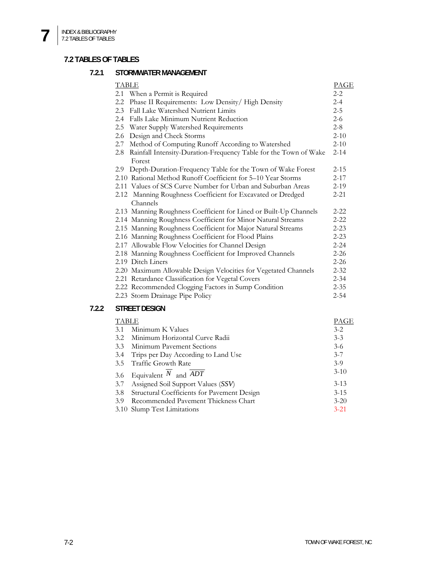# **7.2 TABLES OF TABLES**

# **7.2.1 STORMWATER MANAGEMENT**

|               | <b>TABLE</b>                                                      | PAGE     |
|---------------|-------------------------------------------------------------------|----------|
|               | 2.1 When a Permit is Required                                     | $2 - 2$  |
| $2.2^{\circ}$ | Phase II Requirements: Low Density/ High Density                  | $2 - 4$  |
| $2.3^{\circ}$ | Fall Lake Watershed Nutrient Limits                               | $2 - 5$  |
| 2.4           | Falls Lake Minimum Nutrient Reduction                             | $2-6$    |
|               | 2.5 Water Supply Watershed Requirements                           | $2 - 8$  |
|               | 2.6 Design and Check Storms                                       | $2 - 10$ |
| 2.7           | Method of Computing Runoff According to Watershed                 | $2 - 10$ |
| 2.8           | Rainfall Intensity-Duration-Frequency Table for the Town of Wake  | $2 - 14$ |
|               | Forest                                                            |          |
| 2.9           | Depth-Duration-Frequency Table for the Town of Wake Forest        | $2 - 15$ |
|               | 2.10 Rational Method Runoff Coefficient for 5-10 Year Storms      | $2 - 17$ |
|               | 2.11 Values of SCS Curve Number for Urban and Suburban Areas      | $2-19$   |
|               | 2.12 Manning Roughness Coefficient for Excavated or Dredged       | $2 - 21$ |
|               | Channels                                                          |          |
|               | 2.13 Manning Roughness Coefficient for Lined or Built-Up Channels | $2 - 22$ |
|               | 2.14 Manning Roughness Coefficient for Minor Natural Streams      | $2 - 22$ |
|               | 2.15 Manning Roughness Coefficient for Major Natural Streams      | $2 - 23$ |
|               | 2.16 Manning Roughness Coefficient for Flood Plains               | $2 - 23$ |
|               | 2.17 Allowable Flow Velocities for Channel Design                 | $2 - 24$ |
|               | 2.18 Manning Roughness Coefficient for Improved Channels          | $2 - 26$ |
|               | 2.19 Ditch Liners                                                 | $2 - 26$ |
|               | 2.20 Maximum Allowable Design Velocities for Vegetated Channels   | $2 - 32$ |
|               | 2.21 Retardance Classification for Vegetal Covers                 | $2 - 34$ |
|               | 2.22 Recommended Clogging Factors in Sump Condition               | $2 - 35$ |
|               | 2.23 Storm Drainage Pipe Policy                                   | $2 - 54$ |
|               | <b>STREET DESIGN</b>                                              |          |

# **7.2.2 STREET DESIGN**

| <b>TABLE</b>                                       | PAGE     |
|----------------------------------------------------|----------|
| Minimum K Values<br>3.1                            | $3 - 2$  |
| Minimum Horizontal Curve Radii<br>$3.2^{\circ}$    | $3 - 3$  |
| Minimum Pavement Sections<br>3.3                   | $3-6$    |
| 3.4 Trips per Day According to Land Use            | $3 - 7$  |
| 3.5 Traffic Growth Rate                            | $3-9$    |
| 3.6 Equivalent $N$ and $\overline{ADT}$            | $3-10$   |
| Assigned Soil Support Values (SSV)<br>3.7          | $3 - 13$ |
| Structural Coefficients for Pavement Design<br>3.8 | $3 - 15$ |
| Recommended Pavement Thickness Chart<br>3.9        | $3 - 20$ |
| 3.10 Slump Test Limitations                        | $3 - 21$ |
|                                                    |          |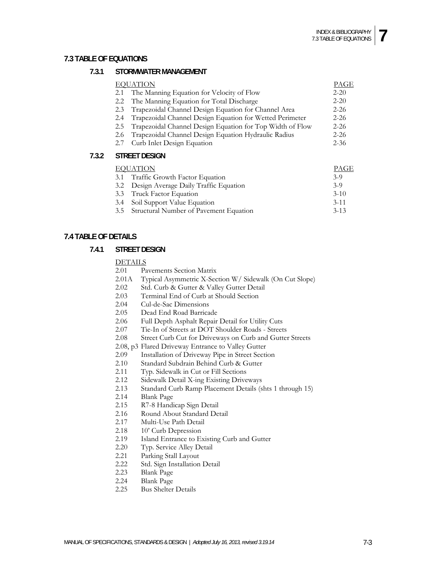# **7.3 TABLE OF EQUATIONS**

| 7.3.1 | STORMWATER MANAGEMENT                         |          |
|-------|-----------------------------------------------|----------|
|       | <b>EOUATION</b>                               | PAGE     |
|       | 2.1 The Manning Equation for Velocity of Flow | $2 - 20$ |
|       | 2.2 The Manning Equation for Total Discharge  | $2 - 20$ |

- 2.3 Trapezoidal Channel Design Equation for Channel Area 2.4 Trapezoidal Channel Design Equation for Wetted Perimeter 2-26 2-26
- 2.5 Trapezoidal Channel Design Equation for Top Width of Flow 2-26
- 2.6 Trapezoidal Channel Design Equation Hydraulic Radius 2.7 Curb Inlet Design Equation 2-26 2-36

# **7.3.2 STREET DESIGN**

| <b>EQUATION</b> |                                            | PAGE     |
|-----------------|--------------------------------------------|----------|
|                 | 3.1 Traffic Growth Factor Equation         | $3-9$    |
|                 | 3.2 Design Average Daily Traffic Equation  | $3-9$    |
|                 | 3.3 Truck Factor Equation                  | $3 - 10$ |
|                 | 3.4 Soil Support Value Equation            | $3 - 11$ |
|                 | 3.5 Structural Number of Pavement Equation | $3 - 13$ |

# **7.4 TABLE OF DETAILS**

# **7.4.1 STREET DESIGN**

# **DETAILS**

- 2.01 Pavements Section Matrix
- 2.01A Typical Asymmetric X-Section W/ Sidewalk (On Cut Slope)
- 2.02 Std. Curb & Gutter & Valley Gutter Detail
- 2.03 Terminal End of Curb at Should Section
- 2.04 Cul-de-Sac Dimensions
- 2.05 Dead End Road Barricade
- 2.06 Full Depth Asphalt Repair Detail for Utility Cuts
- 2.07 Tie-In of Streets at DOT Shoulder Roads Streets
- 2.08 Street Curb Cut for Driveways on Curb and Gutter Streets
- 2.08, p3 Flared Driveway Entrance to Valley Gutter
- 2.09 Installation of Driveway Pipe in Street Section
- 2.10 Standard Subdrain Behind Curb & Gutter
- 2.11 Typ. Sidewalk in Cut or Fill Sections
- 2.12 Sidewalk Detail X-ing Existing Driveways
- 2.13 Standard Curb Ramp Placement Details (shts 1 through 15)
- 2.14 Blank Page
- 2.15 R7-8 Handicap Sign Detail
- 2.16 Round About Standard Detail
- 2.17 Multi-Use Path Detail
- 2.18 10' Curb Depression
- 2.19 Island Entrance to Existing Curb and Gutter<br>2.20 Tvo. Service Alley Detail
- Typ. Service Alley Detail
- 2.21 Parking Stall Layout
- 2.22 Std. Sign Installation Detail
- 2.23 Blank Page
- 2.24 Blank Page
- 2.25 Bus Shelter Details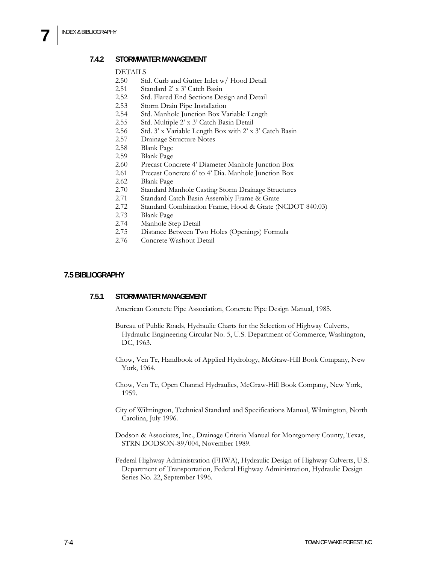# **7.4.2 STORMWATER MANAGEMENT**

# DETAILS

- 2.50 Std. Curb and Gutter Inlet w/ Hood Detail
- 2.51 Standard 2' x 3' Catch Basin
- 2.52 Std. Flared End Sections Design and Detail
- 2.53 Storm Drain Pipe Installation
- 2.54 Std. Manhole Junction Box Variable Length
- 2.55 Std. Multiple 2' x 3' Catch Basin Detail
- 2.56 Std. 3' x Variable Length Box with 2' x 3' Catch Basin
- 2.57 Drainage Structure Notes
- 2.58 Blank Page
- 2.59 Blank Page
- 2.60 Precast Concrete 4' Diameter Manhole Junction Box
- 2.61 Precast Concrete 6' to 4' Dia. Manhole Junction Box
- 2.62 Blank Page
- 2.70 Standard Manhole Casting Storm Drainage Structures
- 2.71 Standard Catch Basin Assembly Frame & Grate
- 2.72 Standard Combination Frame, Hood & Grate (NCDOT 840.03)
- 2.73 Blank Page
- 2.74 Manhole Step Detail
- 2.75 Distance Between Two Holes (Openings) Formula
- 2.76 Concrete Washout Detail

# **7.5 BIBLIOGRAPHY**

#### **7.5.1 STORMWATER MANAGEMENT**

American Concrete Pipe Association, Concrete Pipe Design Manual, 1985.

- Bureau of Public Roads, Hydraulic Charts for the Selection of Highway Culverts, Hydraulic Engineering Circular No. 5, U.S. Department of Commerce, Washington, DC, 1963.
- Chow, Ven Te, Handbook of Applied Hydrology, McGraw-Hill Book Company, New York, 1964.
- Chow, Ven Te, Open Channel Hydraulics, McGraw-Hill Book Company, New York, 1959.
- City of Wilmington, Technical Standard and Specifications Manual, Wilmington, North Carolina, July 1996.
- Dodson & Associates, Inc., Drainage Criteria Manual for Montgomery County, Texas, STRN DODSON-89/004, November 1989.
- Federal Highway Administration (FHWA), Hydraulic Design of Highway Culverts, U.S. Department of Transportation, Federal Highway Administration, Hydraulic Design Series No. 22, September 1996.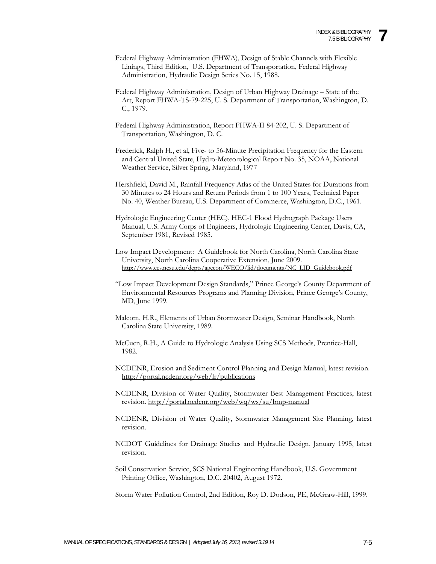- Federal Highway Administration (FHWA), Design of Stable Channels with Flexible Linings, Third Edition, U.S. Department of Transportation, Federal Highway Administration, Hydraulic Design Series No. 15, 1988.
- Federal Highway Administration, Design of Urban Highway Drainage State of the Art, Report FHWA-TS-79-225, U. S. Department of Transportation, Washington, D. C., 1979.
- Federal Highway Administration, Report FHWA-II 84-202, U. S. Department of Transportation, Washington, D. C.
- Frederick, Ralph H., et al, Five- to 56-Minute Precipitation Frequency for the Eastern and Central United State, Hydro-Meteorological Report No. 35, NOAA, National Weather Service, Silver Spring, Maryland, 1977
- Hershfield, David M., Rainfall Frequency Atlas of the United States for Durations from 30 Minutes to 24 Hours and Return Periods from 1 to 100 Years, Technical Paper No. 40, Weather Bureau, U.S. Department of Commerce, Washington, D.C., 1961.
- Hydrologic Engineering Center (HEC), HEC-1 Flood Hydrograph Package Users Manual, U.S. Army Corps of Engineers, Hydrologic Engineering Center, Davis, CA, September 1981, Revised 1985.
- Low Impact Development: A Guidebook for North Carolina, North Carolina State University, North Carolina Cooperative Extension, June 2009. http://www.ces.ncsu.edu/depts/agecon/WECO/lid/documents/NC\_LID\_Guidebook.pdf
- "Low Impact Development Design Standards," Prince George's County Department of Environmental Resources Programs and Planning Division, Prince George's County, MD, June 1999.
- Malcom, H.R., Elements of Urban Stormwater Design, Seminar Handbook, North Carolina State University, 1989.
- McCuen, R.H., A Guide to Hydrologic Analysis Using SCS Methods, Prentice-Hall, 1982.
- NCDENR, Erosion and Sediment Control Planning and Design Manual, latest revision. http://portal.ncdenr.org/web/lr/publications
- NCDENR, Division of Water Quality, Stormwater Best Management Practices, latest revision. http://portal.ncdenr.org/web/wq/ws/su/bmp-manual
- NCDENR, Division of Water Quality, Stormwater Management Site Planning, latest revision.
- NCDOT Guidelines for Drainage Studies and Hydraulic Design, January 1995, latest revision.
- Soil Conservation Service, SCS National Engineering Handbook, U.S. Government Printing Office, Washington, D.C. 20402, August 1972.

Storm Water Pollution Control, 2nd Edition, Roy D. Dodson, PE, McGraw-Hill, 1999.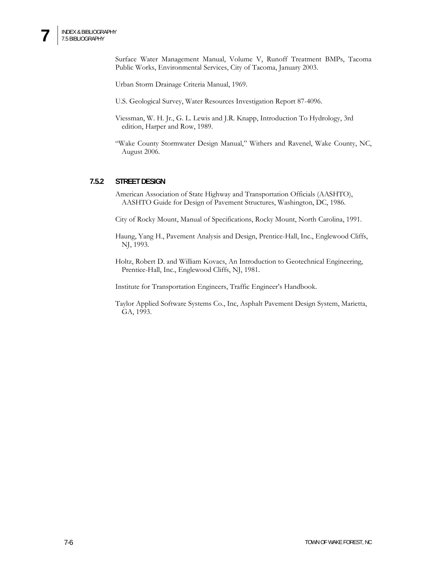Surface Water Management Manual, Volume V, Runoff Treatment BMPs, Tacoma Public Works, Environmental Services, City of Tacoma, January 2003.

Urban Storm Drainage Criteria Manual, 1969.

- U.S. Geological Survey, Water Resources Investigation Report 87-4096.
- Viessman, W. H. Jr., G. L. Lewis and J.R. Knapp, Introduction To Hydrology, 3rd edition, Harper and Row, 1989.
- "Wake County Stormwater Design Manual," Withers and Ravenel, Wake County, NC, August 2006.

#### **7.5.2 STREET DESIGN**

American Association of State Highway and Transportation Officials (AASHTO), AASHTO Guide for Design of Pavement Structures, Washington, DC, 1986.

City of Rocky Mount, Manual of Specifications, Rocky Mount, North Carolina, 1991.

- Haung, Yang H., Pavement Analysis and Design, Prentice-Hall, Inc., Englewood Cliffs, NJ, 1993.
- Holtz, Robert D. and William Kovacs, An Introduction to Geotechnical Engineering, Prentice-Hall, Inc., Englewood Cliffs, NJ, 1981.

Institute for Transportation Engineers, Traffic Engineer's Handbook.

Taylor Applied Software Systems Co., Inc, Asphalt Pavement Design System, Marietta, GA, 1993.